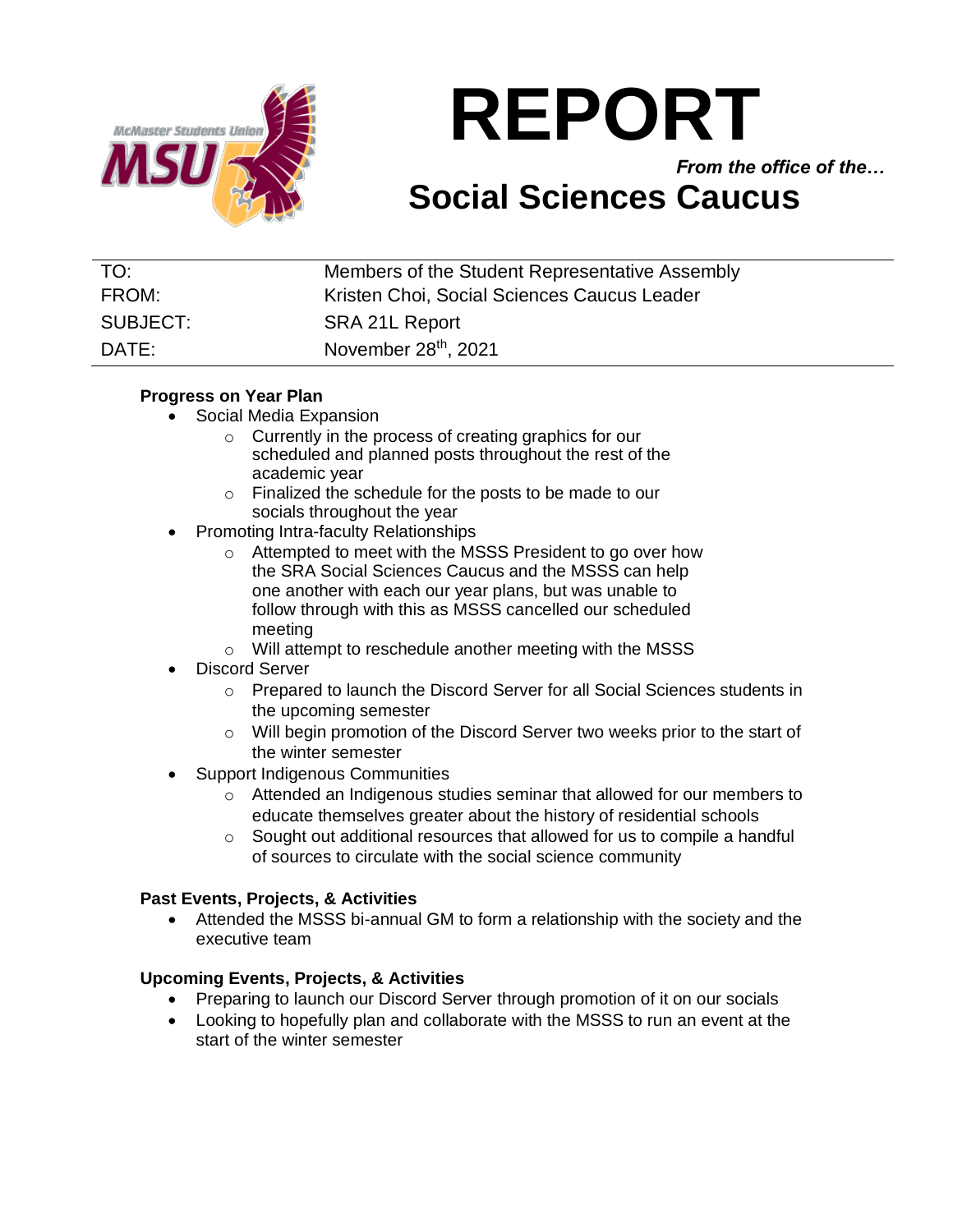

# **REPORT**

*From the office of the…*

# **Social Sciences Caucus**

| TO:      | Members of the Student Representative Assembly |
|----------|------------------------------------------------|
| FROM:    | Kristen Choi, Social Sciences Caucus Leader    |
| SUBJECT: | SRA 21L Report                                 |
| DATE:    | November 28 <sup>th</sup> , 2021               |

### **Progress on Year Plan**

- Social Media Expansion
	- o Currently in the process of creating graphics for our scheduled and planned posts throughout the rest of the academic year
	- o Finalized the schedule for the posts to be made to our socials throughout the year
- Promoting Intra-faculty Relationships
	- o Attempted to meet with the MSSS President to go over how the SRA Social Sciences Caucus and the MSSS can help one another with each our year plans, but was unable to follow through with this as MSSS cancelled our scheduled meeting
	- o Will attempt to reschedule another meeting with the MSSS
- Discord Server
	- o Prepared to launch the Discord Server for all Social Sciences students in the upcoming semester
	- o Will begin promotion of the Discord Server two weeks prior to the start of the winter semester
- Support Indigenous Communities
	- o Attended an Indigenous studies seminar that allowed for our members to educate themselves greater about the history of residential schools
	- o Sought out additional resources that allowed for us to compile a handful of sources to circulate with the social science community

#### **Past Events, Projects, & Activities**

• Attended the MSSS bi-annual GM to form a relationship with the society and the executive team

# **Upcoming Events, Projects, & Activities**

- Preparing to launch our Discord Server through promotion of it on our socials
- Looking to hopefully plan and collaborate with the MSSS to run an event at the start of the winter semester